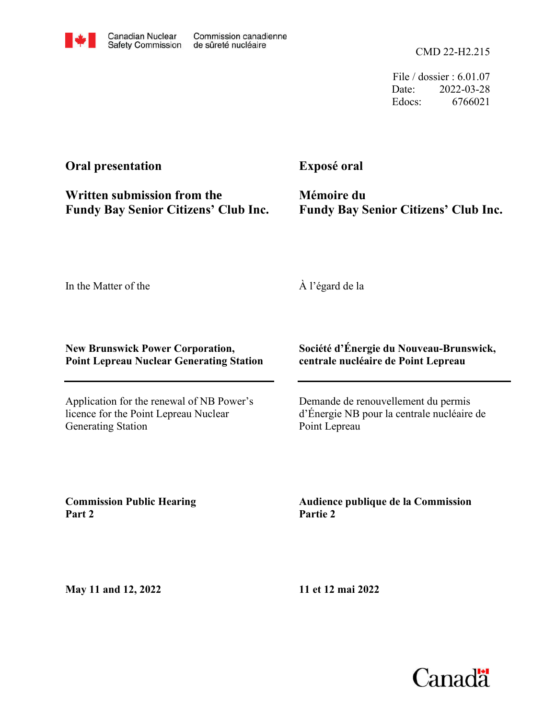

File / dossier : 6.01.07 Date: 2022-03-28 Edocs: 6766021

### **Oral presentation**

**Fundy Bay Senior Citizens' Club Inc. Written submission from the**

**Exposé oral**

**Fundy Bay Senior Citizens' Club Inc. Mémoire du**

In the Matter of the

À l'égard de la

#### **New Brunswick Power Corporation, Point Lepreau Nuclear Generating Station**

Application for the renewal of NB Power's licence for the Point Lepreau Nuclear Generating Station

#### **Société d'Énergie du Nouveau-Brunswick, centrale nucléaire de Point Lepreau**

Demande de renouvellement du permis d'Énergie NB pour la centrale nucléaire de Point Lepreau

**Commission Public Hearing Part 2**

**Audience publique de la Commission Partie 2**

**May 11 and 12, 2022**

**11 et 12 mai 2022**

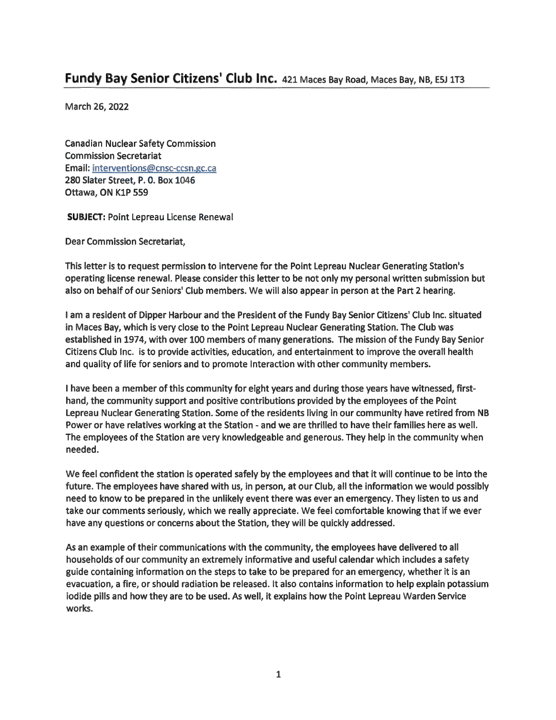## **Fundy Bay Senior Citizens' Club Inc.** <sup>421</sup> Maces Bay Road, Maces Bay, NB, E5J 1T3

March 26, 2022

Canadian Nuclear Safety Commission Commission Secretariat Email: interventions@cnsc-ccsn.gc.ca 280 Slater Street, P. 0. Box 1046 Ottawa, ON K1P 559

**SUBJECT:** Point Lepreau License Renewal

Dear Commission Secretariat,

This letter is to request permission to intervene for the Point Lepreau Nuclear Generating Station's operating license renewal. Please consider this letter to be not only my personal written submission but also on behalf of our Seniors' Club members. We will also appear in person at the Part 2 hearing.

<sup>I</sup> am <sup>a</sup> resident of Dipper Harbour and the President of the Fundy Bay Senior Citizens' Club Inc. situated in Maces Bay, which is very close to the Point Lepreau Nuclear Generating Station. The Club was established in 1974, with over 100 members of many generations. The mission of the Fundy Bay Senior Citizens Club Inc. is to provide activities, education, and entertainment to improve the overall health and quality of life for seniors and to promote Interaction with other community members.

<sup>I</sup> have been <sup>a</sup> member of this community for eight years and during those years have witnessed, firsthand, the community support and positive contributions provided by the employees of the Point Lepreau Nuclear Generating Station. Some of the residents living in our community have retired from NB Power or have relatives working at the Station - and we are thrilled to have their families here as well. The employees of the Station are very knowledgeable and generous. They help in the community when needed.

We feel confident the station is operated safely by the employees and that it will continue to be into the future. The employees have shared with us, in person, at our Club, all the information we would possibly need to know to be prepared in the unlikely event there was ever an emergency. They listen to us and take our comments seriously, which we really appreciate. We feel comfortable knowing that if we ever have any questions or concerns about the Station, they will be quickly addressed.

As an example of their communications with the community, the employees have delivered to all households of our community an extremely informative and useful calendar which includes <sup>a</sup> safety guide containing information on the steps to take to be prepared for an emergency, whether it is an evacuation, <sup>a</sup> fire, or should radiation be released. It also contains information to help explain potassium iodide pills and how they are to be used. As well, it explains how the Point Lepreau Warden Service works.